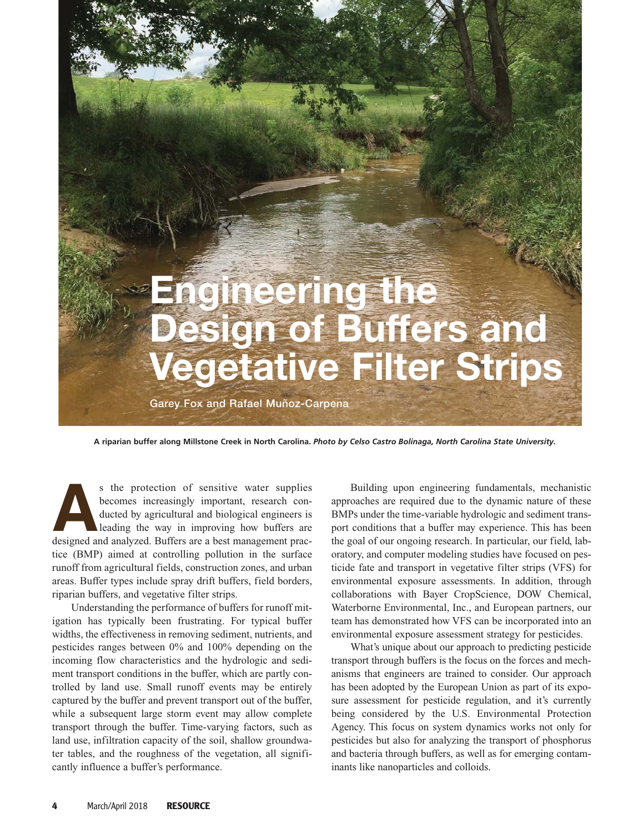

**A riparian buffer along Millstone Creek in North Carolina.** *Photo by Celso Castro Bolinaga, North Carolina State University.*

s the protection of sensitive water supplies<br>becomes increasingly important, research con-<br>ducted by agricultural and biological engineers is<br>leading the way in improving how buffers are<br>designed and analyzed. Buffers are becomes increasingly important, research conducted by agricultural and biological engineers is leading the way in improving how buffers are tice (BMP) aimed at controlling pollution in the surface runoff from agricultural fields, construction zones, and urban areas. Buffer types include spray drift buffers, field borders, riparian buffers, and vegetative filter strips.

Understanding the performance of buffers for runoff mitigation has typically been frustrating. For typical buffer widths, the effectiveness in removing sediment, nutrients, and pesticides ranges between 0% and 100% depending on the incoming flow characteristics and the hydrologic and sediment transport conditions in the buffer, which are partly controlled by land use. Small runoff events may be entirely captured by the buffer and prevent transport out of the buffer, while a subsequent large storm event may allow complete transport through the buffer. Time-varying factors, such as land use, infiltration capacity of the soil, shallow groundwater tables, and the roughness of the vegetation, all significantly influence a buffer's performance.

Building upon engineering fundamentals, mechanistic approaches are required due to the dynamic nature of these BMPs under the time-variable hydrologic and sediment transport conditions that a buffer may experience. This has been the goal of our ongoing research. In particular, our field, laboratory, and computer modeling studies have focused on pesticide fate and transport in vegetative filter strips (VFS) for environmental exposure assessments. In addition, through collaborations with Bayer CropScience, DOW Chemical, Waterborne Environmental, Inc., and European partners, our team has demonstrated how VFS can be incorporated into an environmental exposure assessment strategy for pesticides.

What's unique about our approach to predicting pesticide transport through buffers is the focus on the forces and mechanisms that engineers are trained to consider. Our approach has been adopted by the European Union as part of its exposure assessment for pesticide regulation, and it's currently being considered by the U.S. Environmental Protection Agency. This focus on system dynamics works not only for pesticides but also for analyzing the transport of phosphorus and bacteria through buffers, as well as for emerging contaminants like nanoparticles and colloids.